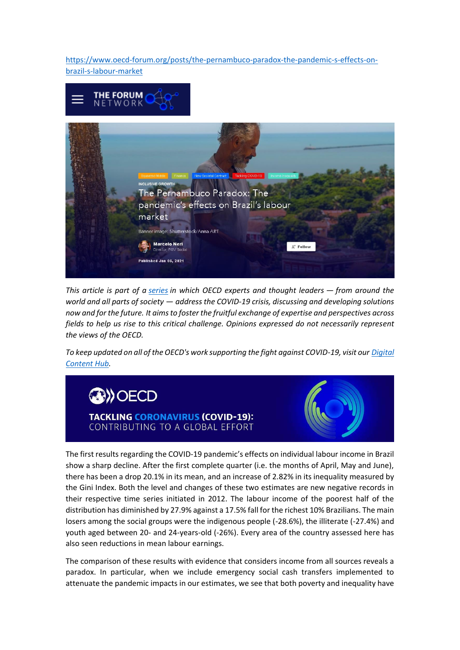[https://www.oecd-forum.org/posts/the-pernambuco-paradox-the-pandemic-s-effects-on](https://www.oecd-forum.org/posts/the-pernambuco-paradox-the-pandemic-s-effects-on-brazil-s-labour-market)[brazil-s-labour-market](https://www.oecd-forum.org/posts/the-pernambuco-paradox-the-pandemic-s-effects-on-brazil-s-labour-market)



*This article is part of a [series](https://www.oecd-forum.org/badges/1420-tackling-covid-19) in which OECD experts and thought leaders — from around the world and all parts of society — address the COVID-19 crisis, discussing and developing solutions now and for the future. It aims to foster the fruitful exchange of expertise and perspectives across fields to help us rise to this critical challenge. Opinions expressed do not necessarily represent the views of the OECD.*

*To keep updated on all of the OECD's work supporting the fight against COVID-19, visit our [Digital](http://oecd.org/coronavirus/)  [Content Hub.](http://oecd.org/coronavirus/)*



The first results regarding the COVID-19 pandemic's effects on individual labour income in Brazil show a sharp decline. After the first complete quarter (i.e. the months of April, May and June), there has been a drop 20.1% in its mean, and an increase of 2.82% in its inequality measured by the Gini Index. Both the level and changes of these two estimates are new negative records in their respective time series initiated in 2012. The labour income of the poorest half of the distribution has diminished by 27.9% against a 17.5% fall for the richest 10% Brazilians. The main losers among the social groups were the indigenous people (-28.6%), the illiterate (-27.4%) and youth aged between 20- and 24-years-old (-26%). Every area of the country assessed here has also seen reductions in mean labour earnings.

The comparison of these results with evidence that considers income from all sources reveals a paradox. In particular, when we include emergency social cash transfers implemented to attenuate the pandemic impacts in our estimates, we see that both poverty and inequality have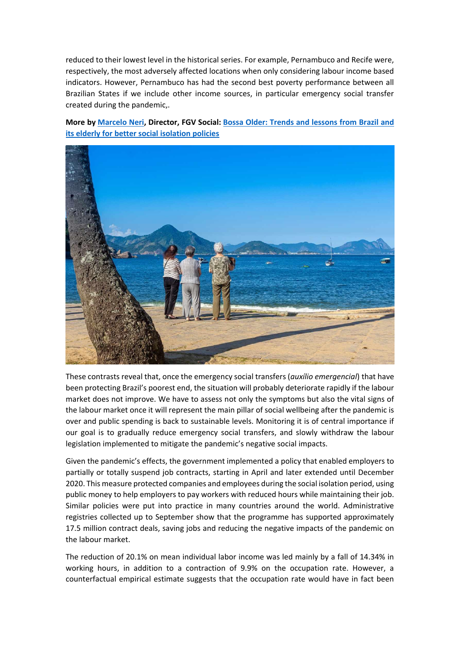reduced to their lowest level in the historical series. For example, Pernambuco and Recife were, respectively, the most adversely affected locations when only considering labour income based indicators. However, Pernambuco has had the second best poverty performance between all Brazilian States if we include other income sources, in particular emergency social transfer created during the pandemic,.

**More by [Marcelo Neri,](https://www.oecd-forum.org/users/421704-marcelo-neri) Director, FGV Social: [Bossa Older: Trends and lessons from Brazil and](https://www.oecd-forum.org/posts/bossa-older-trends-and-lessons-from-brazil-and-its-elderly-for-better-social-isolation-policies)  [its elderly for better social isolation policies](https://www.oecd-forum.org/posts/bossa-older-trends-and-lessons-from-brazil-and-its-elderly-for-better-social-isolation-policies)**



These contrasts reveal that, once the emergency social transfers (*auxílio emergencial*) that have been protecting Brazil's poorest end, the situation will probably deteriorate rapidly if the labour market does not improve. We have to assess not only the symptoms but also the vital signs of the labour market once it will represent the main pillar of social wellbeing after the pandemic is over and public spending is back to sustainable levels. Monitoring it is of central importance if our goal is to gradually reduce emergency social transfers, and slowly withdraw the labour legislation implemented to mitigate the pandemic's negative social impacts.

Given the pandemic's effects, the government implemented a policy that enabled employers to partially or totally suspend job contracts, starting in April and later extended until December 2020. This measure protected companies and employees during the social isolation period, using public money to help employers to pay workers with reduced hours while maintaining their job. Similar policies were put into practice in many countries around the world. Administrative registries collected up to September show that the programme has supported approximately 17.5 million contract deals, saving jobs and reducing the negative impacts of the pandemic on the labour market.

The reduction of 20.1% on mean individual labor income was led mainly by a fall of 14.34% in working hours, in addition to a contraction of 9.9% on the occupation rate. However, a counterfactual empirical estimate suggests that the occupation rate would have in fact been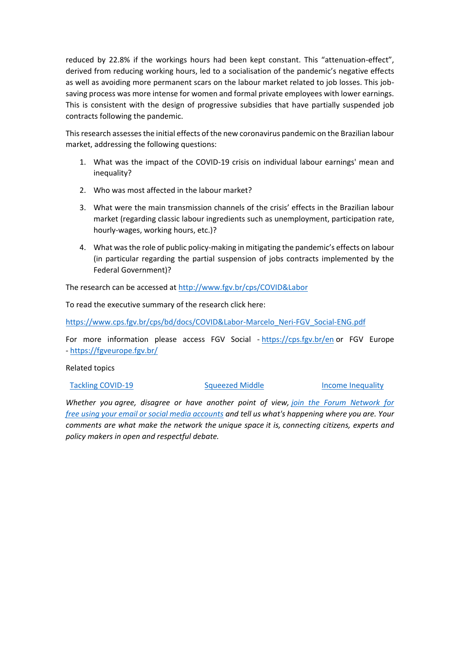reduced by 22.8% if the workings hours had been kept constant. This "attenuation-effect", derived from reducing working hours, led to a socialisation of the pandemic's negative effects as well as avoiding more permanent scars on the labour market related to job losses. This jobsaving process was more intense for women and formal private employees with lower earnings. This is consistent with the design of progressive subsidies that have partially suspended job contracts following the pandemic.

This research assesses the initial effects of the new coronavirus pandemic on the Brazilian labour market, addressing the following questions:

- 1. What was the impact of the COVID-19 crisis on individual labour earnings' mean and inequality?
- 2. Who was most affected in the labour market?
- 3. What were the main transmission channels of the crisis' effects in the Brazilian labour market (regarding classic labour ingredients such as unemployment, participation rate, hourly-wages, working hours, etc.)?
- 4. What was the role of public policy-making in mitigating the pandemic's effects on labour (in particular regarding the partial suspension of jobs contracts implemented by the Federal Government)?

The research can be accessed at [http://www.fgv.br/cps/COVID&Labor](http://www.fgv.br/cps/Covid&Labor)

To read the executive summary of the research click here:

[https://www.cps.fgv.br/cps/bd/docs/COVID&Labor-Marcelo\\_Neri-FGV\\_Social-ENG.pdf](https://www.cps.fgv.br/cps/bd/docs/Covid&Labor-Marcelo_Neri-FGV_Social-ENG.pdf)

For more information please access FGV Social - <https://cps.fgv.br/en> or FGV Europe - <https://fgveurope.fgv.br/>

Related topics

## [Tackling COVID-19](https://www.oecd-forum.org/badges/1420-tackling-covid-19) **[Squeezed Middle](https://www.oecd-forum.org/badges/639-squeezed-middle) [Income Inequality](https://www.oecd-forum.org/badges/638-income-inequality) Income Inequality**

*Whether you agree, disagree or have another point of view, [join the Forum Network for](https://www.oecd-forum.org/users/sign_up)  free [using your email or social media accounts](https://www.oecd-forum.org/users/sign_up) and tell us what's happening where you are. Your comments are what make the network the unique space it is, connecting citizens, experts and policy makers in open and respectful debate.*